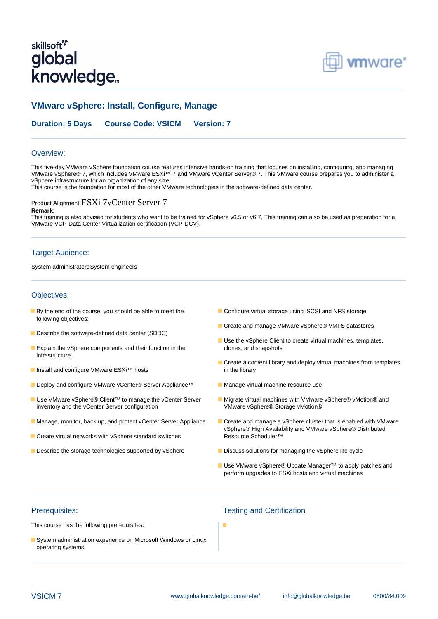# skillsoft<sup>\*</sup> global knowledge<sub>\*</sub>



# **VMware vSphere: Install, Configure, Manage**

**Duration: 5 Days Course Code: VSICM Version: 7**

#### Overview:

This five-day VMware vSphere foundation course features intensive hands-on training that focuses on installing, configuring, and managing VMware vSphere® 7, which includes VMware ESXi™ 7 and VMware vCenter Server® 7. This VMware course prepares you to administer a vSphere infrastructure for an organization of any size.

This course is the foundation for most of the other VMware technologies in the software-defined data center.

### Product Alignment:ESXi 7vCenter Server 7

#### **Remark:**

This training is also advised for students who want to be trained for vSphere v6.5 or v6.7. This training can also be used as preperation for a VMware VCP-Data Center Virtualization certification (VCP-DCV).

#### Target Audience:

System administratorsSystem engineers

#### Objectives:

- **By the end of the course, you should be able to meet the Configure virtual storage using iSCSI and NFS storage** following objectives:
- Describe the software-defined data center (SDDC)
- **Explain the vSphere components and their function in the clones, and snapshots** infrastructure
- Install and configure VMware ESXi<sup>™</sup> hosts in the library
- Deploy and configure VMware vCenter® Server Appliance™ Manage virtual machine resource use
- Use VMware vSphere® Client™ to manage the vCenter Server Migrate virtual machines with VMware vSphere® vMotion® and inventory and the vCenter Server configuration VMware vSphere® Storage vMotion®
- 
- Create virtual networks with vSphere standard switches Resource Scheduler<sup>™</sup>
- Describe the storage technologies supported by vSphere Discuss solutions for managing the vSphere life cycle
- 
- Create and manage VMware vSphere® VMFS datastores
- Use the vSphere Client to create virtual machines, templates,
- Create a content library and deploy virtual machines from templates
- 
- 
- Manage, monitor, back up, and protect vCenter Server Appliance Create and manage a vSphere cluster that is enabled with VMware vSphere® High Availability and VMware vSphere® Distributed
	-
	- Use VMware vSphere® Update Manager<sup>™</sup> to apply patches and perform upgrades to ESXi hosts and virtual machines

This course has the following prerequisites:

System administration experience on Microsoft Windows or Linux operating systems

# Prerequisites: Testing and Certification

×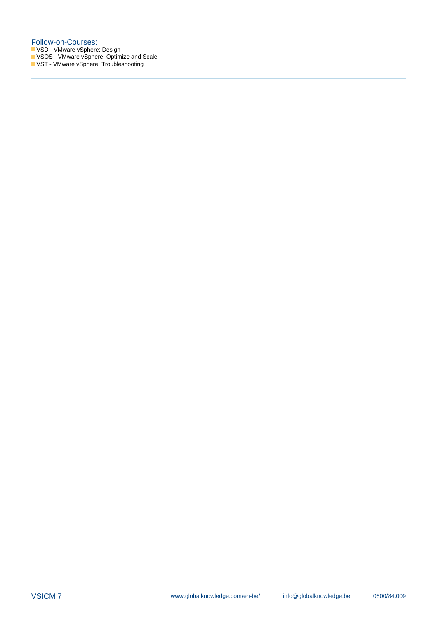#### Follow-on-Courses:

VSD - VMware vSphere: Design

VSOS - VMware vSphere: Optimize and Scale

VST - VMware vSphere: Troubleshooting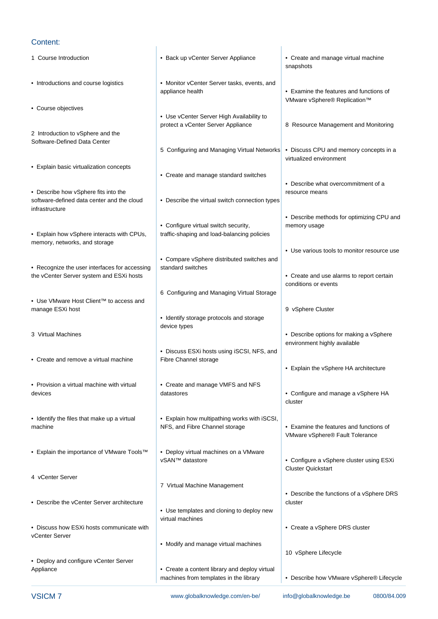#### Content:

- 
- 
- Course objectives
- 2 Introduction to vSphere and the Software-Defined Data Center
- Explain basic virtualization concepts
- Describe how vSphere fits into the resource means infrastructure
- Explain how vSphere interacts with CPUs, traffic-shaping and load-balancing policies memory, networks, and storage
- Recognize the user interfaces for accessing  $\parallel$  standard switches the vCenter Server system and ESXi hosts line • Create and use alarms to report certain
- Use VMware Host Client™ to access and line manage ESXi host **9** vSphere Cluster
- 
- Create and remove a virtual machine Fibre Channel storage
- Provision a virtual machine with virtual Create and manage VMFS and NFS devices examples a vertex of datastores and manage a vertex of the devices of the configure and manage a vSphere HA
- 
- Explain the importance of VMware Tools<sup>™</sup> Deploy virtual machines on a VMware
- 4 vCenter Server
- Describe the vCenter Server architecture cluster cluster cluster cluster
- Discuss how ESXi hosts communicate with line Create a vSphere DRS cluster vCenter Server line in the server line was a server line was a server line was a server line was a server line
- Deploy and configure vCenter Server
- 1 Course Introduction  **Back up vCenter Server Appliance** Create and manage virtual machine
- Introductions and course logistics Monitor vCenter Server tasks, events, and appliance health **•** Examine the features and functions of
	- Use vCenter Server High Availability to protect a vCenter Server Appliance 8 Resource Management and Monitoring
	- 5 Configuring and Managing Virtual Networks Discuss CPU and memory concepts in a
	- Create and manage standard switches
- software-defined data center and the cloud Describe the virtual switch connection types
	- Configure virtual switch security, memory usage
	- Compare vSphere distributed switches and
	- 6 Configuring and Managing Virtual Storage
	- Identify storage protocols and storage device types
	- Discuss ESXi hosts using iSCSI, NFS, and
	-
- Identify the files that make up a virtual Explain how multipathing works with iSCSI, machine **Examine 19 To Accord 19 ATC** NFS, and Fibre Channel storage **•** Examine the features and functions of
	-
	- 7 Virtual Machine Management
	- Use templates and cloning to deploy new virtual machines
	- Modify and manage virtual machines
- Appliance Create a content library and deploy virtual machines from templates in the library • Describe how VMware vSphere® Lifecycle
- line line line snapshots and snapshots are snapshots and snapshots are snapshots and snapshots are snapshots a
	- VMware vSphere® Replication™
	-
	- virtualized environment
	- Describe what overcommitment of a
	- Describe methods for optimizing CPU and
	- Use various tools to monitor resource use
	- conditions or events
	-
- 3 Virtual Machines **line Describe options for making a vSphere** Describe options for making a vSphere environment highly available
	- Explain the vSphere HA architecture
- line line cluster
	- VMware vSphere® Fault Tolerance
	- vSAN™ datastore Configure a vSphere cluster using ESXi **Cluster Quickstart** 
		- Describe the functions of a vSphere DRS
		-
		- 10 vSphere Lifecycle
		-